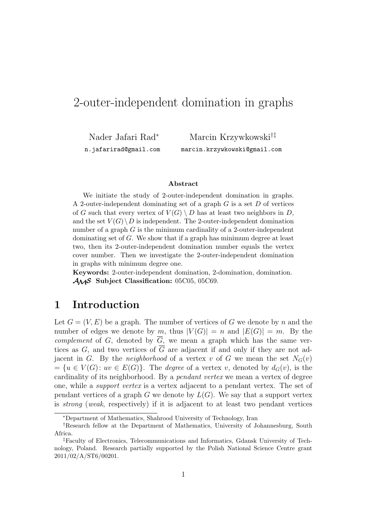# 2-outer-independent domination in graphs

Nader Jafari Rad<sup>∗</sup> n.jafarirad@gmail.com

Marcin Krzywkowski†‡ marcin.krzywkowski@gmail.com

#### **Abstract**

We initiate the study of 2-outer-independent domination in graphs. A 2-outer-independent dominating set of a graph G is a set D of vertices of G such that every vertex of  $V(G) \setminus D$  has at least two neighbors in D, and the set  $V(G) \backslash D$  is independent. The 2-outer-independent domination number of a graph  $G$  is the minimum cardinality of a 2-outer-independent dominating set of G. We show that if a graph has minimum degree at least two, then its 2-outer-independent domination number equals the vertex cover number. Then we investigate the 2-outer-independent domination in graphs with minimum degree one.

**Keywords:** 2-outer-independent domination, 2-domination, domination. AMS **Subject Classification:** 05C05, 05C69.

## **1 Introduction**

Let  $G = (V, E)$  be a graph. The number of vertices of G we denote by n and the number of edges we denote by m, thus  $|V(G)| = n$  and  $|E(G)| = m$ . By the *complement* of G, denoted by  $\overline{G}$ , we mean a graph which has the same vertices as G, and two vertices of  $\overline{G}$  are adjacent if and only if they are not adjacent in G. By the *neighborhood* of a vertex v of G we mean the set  $N_G(v)$  $=\{u \in V(G): uv \in E(G)\}\.$  The *degree* of a vertex v, denoted by  $d_G(v)$ , is the cardinality of its neighborhood. By a *pendant vertex* we mean a vertex of degree one, while a *support vertex* is a vertex adjacent to a pendant vertex. The set of pendant vertices of a graph G we denote by  $L(G)$ . We say that a support vertex is *strong* (*weak*, respectively) if it is adjacent to at least two pendant vertices

<sup>∗</sup>Department of Mathematics, Shahrood University of Technology, Iran

<sup>†</sup>Research fellow at the Department of Mathematics, University of Johannesburg, South Africa.

<sup>‡</sup>Faculty of Electronics, Telecommunications and Informatics, Gdansk University of Technology, Poland. Research partially supported by the Polish National Science Centre grant 2011/02/A/ST6/00201.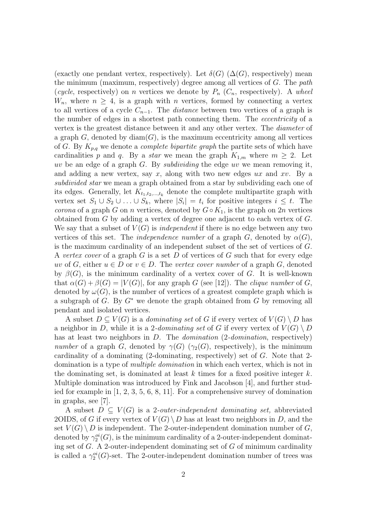(exactly one pendant vertex, respectively). Let  $\delta(G)$  ( $\Delta(G)$ , respectively) mean the minimum (maximum, respectively) degree among all vertices of G. The *path* (*cycle*, respectively) on *n* vertices we denote by  $P_n$  ( $C_n$ , respectively). A *wheel*  $W_n$ , where  $n \geq 4$ , is a graph with n vertices, formed by connecting a vertex to all vertices of a cycle  $C_{n-1}$ . The *distance* between two vertices of a graph is the number of edges in a shortest path connecting them. The *eccentricity* of a vertex is the greatest distance between it and any other vertex. The *diameter* of a graph  $G$ , denoted by  $\text{diam}(G)$ , is the maximum eccentricity among all vertices of G. By Kp,q we denote a *complete bipartite graph* the partite sets of which have cardinalities p and q. By a *star* we mean the graph  $K_{1,m}$  where  $m \geq 2$ . Let uv be an edge of a graph G. By *subdividing* the edge uv we mean removing it, and adding a new vertex, say x, along with two new edges  $ux$  and  $xv$ . By a *subdivided star* we mean a graph obtained from a star by subdividing each one of its edges. Generally, let  $K_{t_1,t_2,\dots,t_k}$  denote the complete multipartite graph with vertex set  $S_1 \cup S_2 \cup \ldots \cup S_k$ , where  $|S_i| = t_i$  for positive integers  $i \leq t$ . The *corona* of a graph G on n vertices, denoted by  $G ∘ K_1$ , is the graph on 2n vertices obtained from G by adding a vertex of degree one adjacent to each vertex of G. We say that a subset of  $V(G)$  is *independent* if there is no edge between any two vertices of this set. The *independence number* of a graph G, denoted by  $\alpha(G)$ , is the maximum cardinality of an independent subset of the set of vertices of G. A *vertex cover* of a graph G is a set D of vertices of G such that for every edge uv of G, either  $u \in D$  or  $v \in D$ . The *vertex cover number* of a graph G, denoted by  $\beta(G)$ , is the minimum cardinality of a vertex cover of G. It is well-known that  $\alpha(G) + \beta(G) = |V(G)|$ , for any graph G (see [12]). The *clique number* of G, denoted by  $\omega(G)$ , is the number of vertices of a greatest complete graph which is a subgraph of  $G$ . By  $G^*$  we denote the graph obtained from  $G$  by removing all pendant and isolated vertices.

A subset  $D \subseteq V(G)$  is a *dominating set* of G if every vertex of  $V(G) \setminus D$  has a neighbor in D, while it is a 2-dominating set of G if every vertex of  $V(G) \setminus D$ has at least two neighbors in D. The *domination* (2*-domination*, respectively) *number* of a graph G, denoted by  $\gamma(G)$  ( $\gamma_2(G)$ , respectively), is the minimum cardinality of a dominating  $(2$ -dominating, respectively) set of G. Note that 2domination is a type of *multiple domination* in which each vertex, which is not in the dominating set, is dominated at least k times for a fixed positive integer  $k$ . Multiple domination was introduced by Fink and Jacobson [4], and further studied for example in [1, 2, 3, 5, 6, 8, 11]. For a comprehensive survey of domination in graphs, see [7].

A subset  $D \subseteq V(G)$  is a 2-*outer-independent dominating set*, abbreviated 2OIDS, of G if every vertex of  $V(G) \setminus D$  has at least two neighbors in D, and the set  $V(G) \setminus D$  is independent. The 2-outer-independent domination number of G, denoted by  $\gamma_2^{oi}(G)$ , is the minimum cardinality of a 2-outer-independent dominating set of  $G$ . A 2-outer-independent dominating set of  $G$  of minimum cardinality is called a  $\gamma_2^{oi}(G)$ -set. The 2-outer-independent domination number of trees was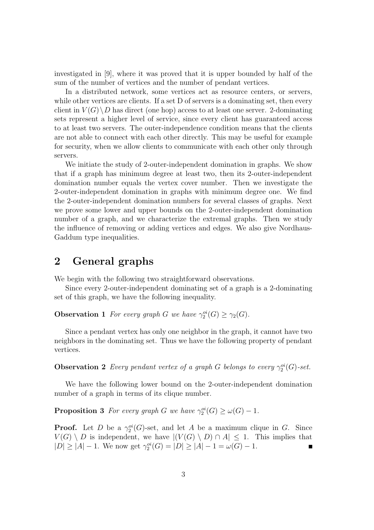investigated in [9], where it was proved that it is upper bounded by half of the sum of the number of vertices and the number of pendant vertices.

In a distributed network, some vertices act as resource centers, or servers, while other vertices are clients. If a set D of servers is a dominating set, then every client in  $V(G) \backslash D$  has direct (one hop) access to at least one server. 2-dominating sets represent a higher level of service, since every client has guaranteed access to at least two servers. The outer-independence condition means that the clients are not able to connect with each other directly. This may be useful for example for security, when we allow clients to communicate with each other only through servers.

We initiate the study of 2-outer-independent domination in graphs. We show that if a graph has minimum degree at least two, then its 2-outer-independent domination number equals the vertex cover number. Then we investigate the 2-outer-independent domination in graphs with minimum degree one. We find the 2-outer-independent domination numbers for several classes of graphs. Next we prove some lower and upper bounds on the 2-outer-independent domination number of a graph, and we characterize the extremal graphs. Then we study the influence of removing or adding vertices and edges. We also give Nordhaus-Gaddum type inequalities.

# **2 General graphs**

We begin with the following two straightforward observations.

Since every 2-outer-independent dominating set of a graph is a 2-dominating set of this graph, we have the following inequality.

**Observation 1** *For every graph G we have*  $\gamma_2^{oi}(G) \geq \gamma_2(G)$ *.* 

Since a pendant vertex has only one neighbor in the graph, it cannot have two neighbors in the dominating set. Thus we have the following property of pendant vertices.

**Observation 2** *Every pendant vertex of a graph G belongs to every*  $\gamma_2^{oi}(G)$ -set.

We have the following lower bound on the 2-outer-independent domination number of a graph in terms of its clique number.

**Proposition 3** For every graph G we have  $\gamma_2^{oi}(G) \ge \omega(G) - 1$ .

**Proof.** Let D be a  $\gamma_2^{oi}(G)$ -set, and let A be a maximum clique in G. Since  $V(G) \setminus D$  is independent, we have  $|(V(G) \setminus D) \cap A| \leq 1$ . This implies that  $|D| \ge |A| - 1$ . We now get  $\gamma_2^{oi}(G) = |D| \ge |A| - 1 = \omega(G) - 1$ .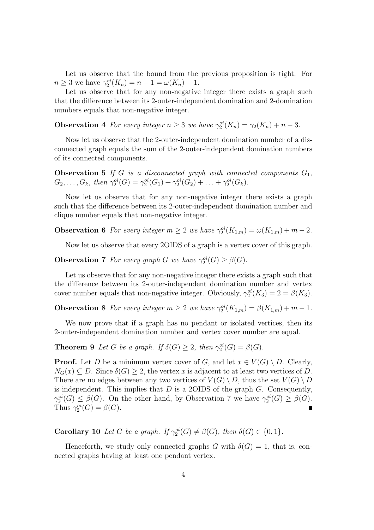Let us observe that the bound from the previous proposition is tight. For  $n \ge 3$  we have  $\gamma_2^{oi}(K_n) = n - 1 = \omega(K_n) - 1$ .

Let us observe that for any non-negative integer there exists a graph such that the difference between its 2-outer-independent domination and 2-domination numbers equals that non-negative integer.

**Observation 4** *For every integer*  $n \geq 3$  *we have*  $\gamma_2^{oi}(K_n) = \gamma_2(K_n) + n - 3$ *.* 

Now let us observe that the 2-outer-independent domination number of a disconnected graph equals the sum of the 2-outer-independent domination numbers of its connected components.

**Observation 5** If G is a disconnected graph with connected components  $G_1$ ,  $G_2, \ldots, G_k$ , then  $\gamma_2^{oi}(G) = \gamma_2^{oi}(G_1) + \gamma_2^{oi}(G_2) + \ldots + \gamma_2^{oi}(G_k)$ .

Now let us observe that for any non-negative integer there exists a graph such that the difference between its 2-outer-independent domination number and clique number equals that non-negative integer.

**Observation 6** *For every integer*  $m \geq 2$  *we have*  $\gamma_2^{oi}(K_{1,m}) = \omega(K_{1,m}) + m - 2$ *.* 

Now let us observe that every 2OIDS of a graph is a vertex cover of this graph.

**Observation 7** *For every graph G we have*  $\gamma_2^{oi}(G) \geq \beta(G)$ *.* 

Let us observe that for any non-negative integer there exists a graph such that the difference between its 2-outer-independent domination number and vertex cover number equals that non-negative integer. Obviously,  $\gamma_2^{oi}(K_3) = 2 = \beta(K_3)$ .

**Observation 8** *For every integer*  $m \geq 2$  *we have*  $\gamma_2^{oi}(K_{1,m}) = \beta(K_{1,m}) + m - 1$ *.* 

We now prove that if a graph has no pendant or isolated vertices, then its 2-outer-independent domination number and vertex cover number are equal.

**Theorem 9** *Let* G *be a graph.* If  $\delta(G) \geq 2$ , then  $\gamma_2^{oi}(G) = \beta(G)$ *.* 

**Proof.** Let D be a minimum vertex cover of G, and let  $x \in V(G) \setminus D$ . Clearly,  $N_G(x) \subseteq D$ . Since  $\delta(G) \geq 2$ , the vertex x is adjacent to at least two vertices of D. There are no edges between any two vertices of  $V(G) \setminus D$ , thus the set  $V(G) \setminus D$ is independent. This implies that  $D$  is a 2OIDS of the graph  $G$ . Consequently,  $\gamma_2^{oi}(G) \leq \beta(G)$ . On the other hand, by Observation 7 we have  $\gamma_2^{oi}(G) \geq \beta(G)$ . Thus  $\gamma_2^{oi}(G) = \beta(G)$ .

**Corollary 10** *Let* G *be a graph.* If  $\gamma_2^{oi}(G) \neq \beta(G)$ *, then*  $\delta(G) \in \{0, 1\}$ *.* 

Henceforth, we study only connected graphs G with  $\delta(G) = 1$ , that is, connected graphs having at least one pendant vertex.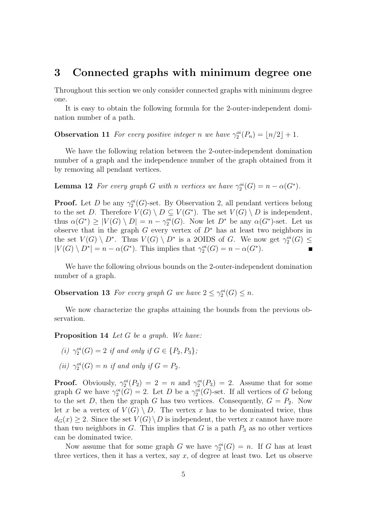### **3 Connected graphs with minimum degree one**

Throughout this section we only consider connected graphs with minimum degree one.

It is easy to obtain the following formula for the 2-outer-independent domination number of a path.

**Observation 11** *For every positive integer n we have*  $\gamma_2^{oi}(P_n) = \lfloor n/2 \rfloor + 1$ *.* 

We have the following relation between the 2-outer-independent domination number of a graph and the independence number of the graph obtained from it by removing all pendant vertices.

**Lemma 12** *For every graph* G *with* n *vertices* we have  $\gamma_2^{oi}(G) = n - \alpha(G^*)$ *.* 

**Proof.** Let D be any  $\gamma_2^{oi}(G)$ -set. By Observation 2, all pendant vertices belong to the set D. Therefore  $V(G) \setminus D \subseteq V(G^*)$ . The set  $V(G) \setminus D$  is independent, thus  $\alpha(G^*) \geq |V(G) \setminus D| = n - \gamma_2^{\alpha}(G)$ . Now let  $D^*$  be any  $\alpha(G^*)$ -set. Let us observe that in the graph G every vertex of  $D^*$  has at least two neighbors in the set  $V(G) \setminus D^*$ . Thus  $V(G) \setminus D^*$  is a 2OIDS of G. We now get  $\gamma_2^{oi}(G) \le$  $|V(G) \setminus D^*| = n - \alpha(G^*)$ . This implies that  $\gamma_2^{oi}(G) = n - \alpha(G^*)$ .

We have the following obvious bounds on the 2-outer-independent domination number of a graph.

**Observation 13** *For every graph G we have*  $2 \leq \gamma_2^{oi}(G) \leq n$ *.* 

We now characterize the graphs attaining the bounds from the previous observation.

**Proposition 14** *Let* G *be a graph. We have:*

- *(i)*  $\gamma_2^{oi}(G) = 2$  *if and only if*  $G \in \{P_2, P_3\}$ *;*
- (*ii*)  $\gamma_2^{oi}(G) = n$  *if and only if*  $G = P_2$ *.*

**Proof.** Obviously,  $\gamma_2^{oi}(P_2) = 2 = n$  and  $\gamma_2^{oi}(P_3) = 2$ . Assume that for some graph G we have  $\gamma_2^{oi}(G) = 2$ . Let D be a  $\gamma_2^{oi}(G)$ -set. If all vertices of G belong to the set D, then the graph G has two vertices. Consequently,  $G = P_2$ . Now let x be a vertex of  $V(G) \setminus D$ . The vertex x has to be dominated twice, thus  $d_G(x) \geq 2$ . Since the set  $V(G) \setminus D$  is independent, the vertex x cannot have more than two neighbors in  $G$ . This implies that  $G$  is a path  $P_3$  as no other vertices can be dominated twice.

Now assume that for some graph G we have  $\gamma_2^{oi}(G) = n$ . If G has at least three vertices, then it has a vertex, say  $x$ , of degree at least two. Let us observe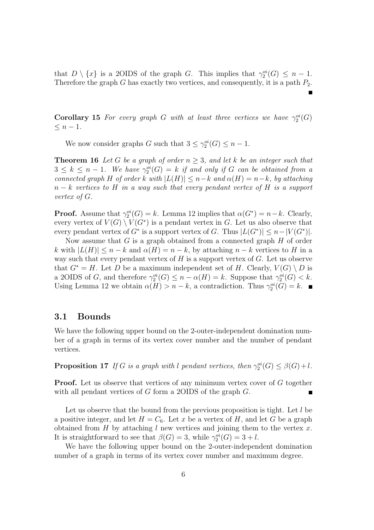that  $D \setminus \{x\}$  is a 2OIDS of the graph G. This implies that  $\gamma_2^{oi}(G) \leq n-1$ . Therefore the graph G has exactly two vertices, and consequently, it is a path  $P_2$ .

**Corollary 15** *For every graph G with at least three vertices we have*  $\gamma_2^{oi}(G)$  $\leq n-1$ .

We now consider graphs G such that  $3 \leq \gamma_2^{oi}(G) \leq n-1$ .

**Theorem 16** Let G be a graph of order  $n \geq 3$ , and let k be an integer such that  $3 \leq k \leq n-1$ . We have  $\gamma_2^{oi}(G) = k$  *if and only if* G *can be obtained from a connected graph* H *of order* k *with*  $|L(H)| \leq n - k$  *and*  $\alpha(H) = n - k$ *, by attaching* n − k *vertices to* H *in a way such that every pendant vertex of* H *is a support vertex of* G*.*

**Proof.** Assume that  $\gamma_2^{oi}(G) = k$ . Lemma 12 implies that  $\alpha(G^*) = n - k$ . Clearly, every vertex of  $V(G) \setminus V(G^*)$  is a pendant vertex in G. Let us also observe that every pendant vertex of  $G^*$  is a support vertex of G. Thus  $|L(G^*)| \leq n - |V(G^*)|$ .

Now assume that  $G$  is a graph obtained from a connected graph  $H$  of order k with  $|L(H)| \leq n - k$  and  $\alpha(H) = n - k$ , by attaching  $n - k$  vertices to H in a way such that every pendant vertex of  $H$  is a support vertex of  $G$ . Let us observe that  $G^* = H$ . Let D be a maximum independent set of H. Clearly,  $V(G) \setminus D$  is a 2OIDS of G, and therefore  $\gamma_2^{oi}(G) \leq n - \alpha(H) = k$ . Suppose that  $\gamma_2^{oi}(G) < k$ . Using Lemma 12 we obtain  $\alpha(H) > n - k$ , a contradiction. Thus  $\gamma_2^{oi}(G) = k$ .

#### **3.1 Bounds**

We have the following upper bound on the 2-outer-independent domination number of a graph in terms of its vertex cover number and the number of pendant vertices.

**Proposition 17** *If* G *is a graph with* l *pendant vertices, then*  $\gamma_2^{oi}(G) \leq \beta(G) + l$ *.* 

**Proof.** Let us observe that vertices of any minimum vertex cover of G together with all pendant vertices of G form a 2OIDS of the graph G.

Let us observe that the bound from the previous proposition is tight. Let l be a positive integer, and let  $H = C_6$ . Let x be a vertex of H, and let G be a graph obtained from H by attaching l new vertices and joining them to the vertex x. It is straightforward to see that  $\beta(G) = 3$ , while  $\gamma_2^{\textit{oi}}(G) = 3 + l$ .

We have the following upper bound on the 2-outer-independent domination number of a graph in terms of its vertex cover number and maximum degree.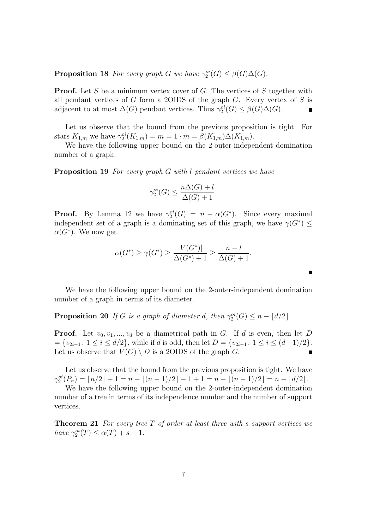## **Proposition 18** *For every graph G we have*  $\gamma_2^{oi}(G) \leq \beta(G)\Delta(G)$ *.*

**Proof.** Let S be a minimum vertex cover of G. The vertices of S together with all pendant vertices of G form a 2OIDS of the graph  $G$ . Every vertex of S is adjacent to at most  $\Delta(G)$  pendant vertices. Thus  $\gamma_2^{oi}(G) \leq \beta(G)\Delta(G)$ .  $\blacksquare$ 

Let us observe that the bound from the previous proposition is tight. For stars  $K_{1,m}$  we have  $\gamma_2^{oi}(K_{1,m}) = m = 1 \cdot m = \beta(K_{1,m})\Delta(K_{1,m}).$ 

We have the following upper bound on the 2-outer-independent domination number of a graph.

**Proposition 19** *For every graph* G *with* l *pendant vertices we have*

$$
\gamma_2^{oi}(G) \le \frac{n\Delta(G) + l}{\Delta(G) + 1}.
$$

**Proof.** By Lemma 12 we have  $\gamma_2^{oi}(G) = n - \alpha(G^*)$ . Since every maximal independent set of a graph is a dominating set of this graph, we have  $\gamma(G^*) \leq$  $\alpha(\overline{G^*})$ . We now get

$$
\alpha(G^*) \ge \gamma(G^*) \ge \frac{|V(G^*)|}{\Delta(G^*)+1} \ge \frac{n-l}{\Delta(G)+1}.
$$

We have the following upper bound on the 2-outer-independent domination number of a graph in terms of its diameter.

**Proposition 20** *If* G *is a graph of diameter d, then*  $\gamma_2^{oi}(G) \leq n - \lfloor d/2 \rfloor$ *.* 

**Proof.** Let  $v_0, v_1, ..., v_d$  be a diametrical path in G. If d is even, then let D  $=\{v_{2i-1}: 1 \leq i \leq d/2\}$ , while if d is odd, then let  $D = \{v_{2i-1}: 1 \leq i \leq (d-1)/2\}$ . Let us observe that  $V(G) \setminus D$  is a 2OIDS of the graph G.  $\blacksquare$ 

Let us observe that the bound from the previous proposition is tight. We have  $\gamma_2^{oi}(P_n) = \lfloor n/2 \rfloor + 1 = n - \lfloor (n-1)/2 \rfloor - 1 + 1 = n - \lfloor (n-1)/2 \rfloor = n - \lfloor d/2 \rfloor.$ 

We have the following upper bound on the 2-outer-independent domination number of a tree in terms of its independence number and the number of support vertices.

**Theorem 21** *For every tree* T *of order at least three with* s *support vertices we have*  $\gamma_2^{oi}(T) \le \alpha(T) + s - 1$ *.*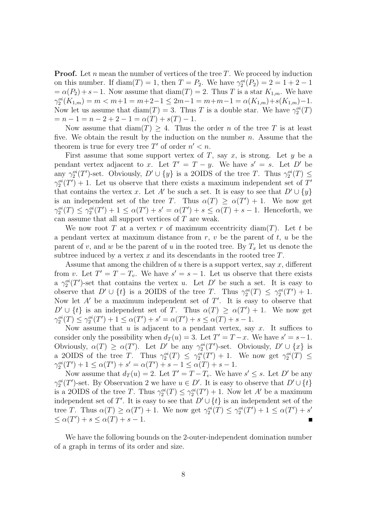**Proof.** Let n mean the number of vertices of the tree  $T$ . We proceed by induction on this number. If  $diam(T) = 1$ , then  $T = P_2$ . We have  $\gamma_2^{oi}(P_2) = 2 = 1 + 2 - 1$  $=\alpha(P_2)+s-1$ . Now assume that  $\text{diam}(T)=2$ . Thus T is a star  $K_{1,m}$ . We have  $\gamma_2^{oi}(K_{1,m}) = m < m+1 = m+2-1 \leq 2m-1 = m+m-1 = \alpha(K_{1,m})+s(K_{1,m})-1.$ Now let us assume that  $\text{diam}(T) = 3$ . Thus T is a double star. We have  $\gamma_2^{oi}(T)$  $= n - 1 = n - 2 + 2 - 1 = \alpha(T) + s(T) - 1.$ 

Now assume that  $\text{diam}(T) \geq 4$ . Thus the order n of the tree T is at least five. We obtain the result by the induction on the number  $n$ . Assume that the theorem is true for every tree  $T'$  of order  $n' < n$ .

First assume that some support vertex of T, say x, is strong. Let  $y$  be a pendant vertex adjacent to x. Let  $T' = T - y$ . We have  $s' = s$ . Let  $D'$  be any  $\gamma_2^{oi}(T')$ -set. Obviously,  $D' \cup \{y\}$  is a 2OIDS of the tree T. Thus  $\gamma_2^{oi}(T) \leq$  $\gamma_2^{oi}(T') + 1$ . Let us observe that there exists a maximum independent set of T' that contains the vertex x. Let A' be such a set. It is easy to see that  $D' \cup \{y\}$ is an independent set of the tree T. Thus  $\alpha(T) \geq \alpha(T') + 1$ . We now get  $\gamma_2^{oi}(T) \leq \gamma_2^{oi}(T') + 1 \leq \alpha(T') + s' = \alpha(T') + s \leq \alpha(T) + s - 1$ . Henceforth, we can assume that all support vertices of T are weak.

We now root T at a vertex r of maximum eccentricity diam(T). Let t be a pendant vertex at maximum distance from  $r, v$  be the parent of  $t, u$  be the parent of v, and w be the parent of u in the rooted tree. By  $T_x$  let us denote the subtree induced by a vertex  $x$  and its descendants in the rooted tree  $T$ .

Assume that among the children of  $u$  there is a support vertex, say  $x$ , different from v. Let  $T' = T - T_v$ . We have  $s' = s - 1$ . Let us observe that there exists a  $\gamma_2^{oi}(T')$ -set that contains the vertex u. Let D' be such a set. It is easy to observe that  $D' \cup \{t\}$  is a 2OIDS of the tree T. Thus  $\gamma_2^{oi}(T) \leq \gamma_2^{oi}(T') + 1$ . Now let  $A'$  be a maximum independent set of  $T'$ . It is easy to observe that  $D' \cup \{t\}$  is an independent set of T. Thus  $\alpha(T) \ge \alpha(T') + 1$ . We now get  $\gamma_2^{oi}(T) \leq \gamma_2^{oi}(T') + 1 \leq \alpha(T') + s' = \alpha(T') + s \leq \alpha(T) + s - 1.$ 

Now assume that  $u$  is adjacent to a pendant vertex, say  $x$ . It suffices to consider only the possibility when  $d_T(u) = 3$ . Let  $T' = T - x$ . We have  $s' = s - 1$ . Obviously,  $\alpha(T) \geq \alpha(T')$ . Let D' be any  $\gamma_2^{oi}(T')$ -set. Obviously,  $D' \cup \{x\}$  is a 2OIDS of the tree T. Thus  $\gamma_2^{oi}(T) \leq \gamma_2^{oi}(T') + 1$ . We now get  $\gamma_2^{oi}(T) \leq$  $\gamma_2^{\alpha i}(T') + 1 \leq \alpha(T') + s' = \alpha(T') + s - 1 \leq \alpha(T) + s - 1.$ 

Now assume that  $d_T(u) = 2$ . Let  $T' = T - T_v$ . We have  $s' \leq s$ . Let D' be any  $\gamma_2^{oi}(T')$ -set. By Observation 2 we have  $u \in D'$ . It is easy to observe that  $D' \cup \{t\}$ is a 2OIDS of the tree T. Thus  $\gamma_2^{oi}(T) \leq \gamma_2^{oi}(T') + 1$ . Now let A' be a maximum independent set of T'. It is easy to see that  $D' \cup \{t\}$  is an independent set of the tree T. Thus  $\alpha(T) \geq \alpha(T') + 1$ . We now get  $\gamma_2^{oi}(T) \leq \gamma_2^{oi}(T') + 1 \leq \alpha(T') + s'$  $\leq \alpha(T') + s \leq \alpha(T) + s - 1.$ 

We have the following bounds on the 2-outer-independent domination number of a graph in terms of its order and size.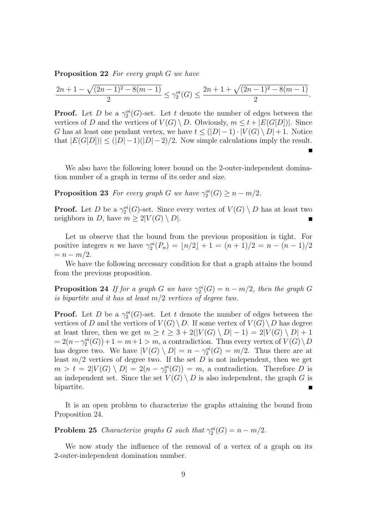**Proposition 22** *For every graph* G *we have*

$$
\frac{2n+1-\sqrt{(2n-1)^2-8(m-1)}}{2}\leq \gamma_2^{oi}(G)\leq \frac{2n+1+\sqrt{(2n-1)^2-8(m-1)}}{2}.
$$

**Proof.** Let D be a  $\gamma_2^{oi}(G)$ -set. Let t denote the number of edges between the vertices of D and the vertices of  $V(G) \setminus D$ . Obviously,  $m \leq t + |E(G[D])|$ . Since G has at least one pendant vertex, we have  $t \leq (|D|-1) \cdot |V(G) \setminus D| + 1$ . Notice that  $|E(G[D])| \leq (|D|-1)(|D|-2)/2$ . Now simple calculations imply the result.

We also have the following lower bound on the 2-outer-independent domination number of a graph in terms of its order and size.

**Proposition 23** *For every graph G we have*  $\gamma_2^{oi}(G) \geq n - m/2$ *.* 

**Proof.** Let D be a  $\gamma_2^{oi}(G)$ -set. Since every vertex of  $V(G) \setminus D$  has at least two neighbors in D, have  $m \geq 2|V(G) \setminus D|$ .

Let us observe that the bound from the previous proposition is tight. For positive integers *n* we have  $\gamma_2^{oi}(P_n) = \lfloor n/2 \rfloor + 1 = (n+1)/2 = n - (n-1)/2$  $= n - m/2.$ 

We have the following necessary condition for that a graph attains the bound from the previous proposition.

**Proposition 24** *If for a graph* G *we have*  $\gamma_2^{oi}(G) = n - m/2$ , then the graph G *is bipartite and it has at least* m/2 *vertices of degree two.*

**Proof.** Let D be a  $\gamma_2^{oi}(G)$ -set. Let t denote the number of edges between the vertices of D and the vertices of  $V(G) \setminus D$ . If some vertex of  $V(G) \setminus D$  has degree at least three, then we get  $m \ge t \ge 3 + 2(|V(G) \setminus D| - 1) = 2|V(G) \setminus D| + 1$  $= 2(n - \gamma_2^{oi}(G)) + 1 = m + 1 > m$ , a contradiction. Thus every vertex of  $V(G) \setminus D$ has degree two. We have  $|V(G) \setminus D| = n - \gamma_2^{oi}(G) = m/2$ . Thus there are at least  $m/2$  vertices of degree two. If the set D is not independent, then we get  $m > t = 2|V(G) \setminus D| = 2(n - \gamma_2^{oi}(G)) = m$ , a contradiction. Therefore D is an independent set. Since the set  $V(G) \setminus D$  is also independent, the graph G is bipartite.

It is an open problem to characterize the graphs attaining the bound from Proposition 24.

**Problem 25** *Characterize graphs G such that*  $\gamma_2^{oi}(G) = n - m/2$ *.* 

We now study the influence of the removal of a vertex of a graph on its 2-outer-independent domination number.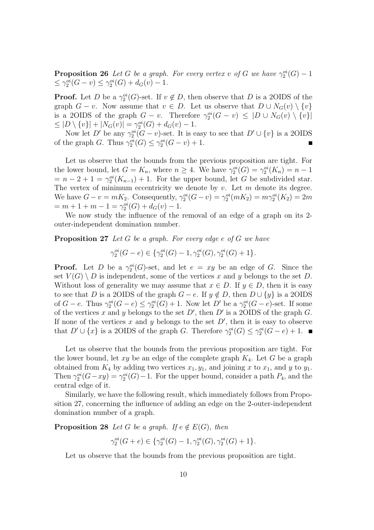**Proposition 26** *Let* G *be a graph. For every vertex* v of G we have  $\gamma_2^{oi}(G) - 1$  $\leq \gamma_2^{oi}(G - v) \leq \gamma_2^{oi}(G) + d_G(v) - 1.$ 

**Proof.** Let D be a  $\gamma_2^{oi}(G)$ -set. If  $v \notin D$ , then observe that D is a 2OIDS of the graph  $G - v$ . Now assume that  $v \in D$ . Let us observe that  $D \cup N_G(v) \setminus \{v\}$ is a 2OIDS of the graph  $G - v$ . Therefore  $\gamma_2^{oi}(G - v) \leq |D \cup N_G(v) \setminus \{v\}|$  $\leq |D \setminus \{v\}| + |N_G(v)| = \gamma_2^{oi}(G) + d_G(v) - 1.$ 

Now let D' be any  $\gamma_2^{oi}(G - v)$ -set. It is easy to see that  $D' \cup \{v\}$  is a 2OIDS of the graph G. Thus  $\gamma_2^{oi}(G) \leq \gamma_2^{oi}(G - v) + 1$ .

Let us observe that the bounds from the previous proposition are tight. For the lower bound, let  $G = K_n$ , where  $n \geq 4$ . We have  $\gamma_2^{oi}(G) = \gamma_2^{oi}(K_n) = n - 1$  $= n - 2 + 1 = \gamma_2^{oi}(K_{n-1}) + 1$ . For the upper bound, let G be subdivided star. The vertex of minimum eccentricity we denote by  $v$ . Let  $m$  denote its degree. We have  $G - v = mK_2$ . Consequently,  $\gamma_2^{oi}(G - v) = \gamma_2^{oi}(mK_2) = m\gamma_2^{oi}(K_2) = 2m$  $= m + 1 + m - 1 = \gamma_2^{\circ i}(G) + d_G(v) - 1.$ 

We now study the influence of the removal of an edge of a graph on its 2 outer-independent domination number.

**Proposition 27** *Let* G *be a graph. For every edge* e *of* G *we have*

 $\gamma_2^{oi}(G-e) \in {\{\gamma_2^{oi}(G) - 1, \gamma_2^{oi}(G), \gamma_2^{oi}(G) + 1\}}.$ 

**Proof.** Let D be a  $\gamma_2^{oi}(G)$ -set, and let  $e = xy$  be an edge of G. Since the set  $V(G) \setminus D$  is independent, some of the vertices x and y belongs to the set D. Without loss of generality we may assume that  $x \in D$ . If  $y \in D$ , then it is easy to see that D is a 2OIDS of the graph  $G - e$ . If  $y \notin D$ , then  $D \cup \{y\}$  is a 2OIDS of  $G-e$ . Thus  $\gamma_2^{oi}(G-e) \leq \gamma_2^{oi}(G) + 1$ . Now let  $D'$  be a  $\gamma_2^{oi}(G-e)$ -set. If some of the vertices x and y belongs to the set  $D'$ , then  $D'$  is a 20IDS of the graph G. If none of the vertices x and y belongs to the set  $D'$ , then it is easy to observe that  $D' \cup \{x\}$  is a 2OIDS of the graph G. Therefore  $\gamma_2^{oi}(G) \leq \gamma_2^{oi}(G-e) + 1$ .

Let us observe that the bounds from the previous proposition are tight. For the lower bound, let  $xy$  be an edge of the complete graph  $K_4$ . Let G be a graph obtained from  $K_4$  by adding two vertices  $x_1, y_1$ , and joining x to  $x_1$ , and y to  $y_1$ . Then  $\gamma_2^{oi}(G - xy) = \gamma_2^{oi}(G) - 1$ . For the upper bound, consider a path  $P_4$ , and the central edge of it.

Similarly, we have the following result, which immediately follows from Proposition 27, concerning the influence of adding an edge on the 2-outer-independent domination number of a graph.

**Proposition 28** *Let* G *be a graph.* If  $e \notin E(G)$ *, then* 

$$
\gamma_2^{oi}(G+e) \in \{ \gamma_2^{oi}(G) - 1, \gamma_2^{oi}(G), \gamma_2^{oi}(G) + 1 \}.
$$

Let us observe that the bounds from the previous proposition are tight.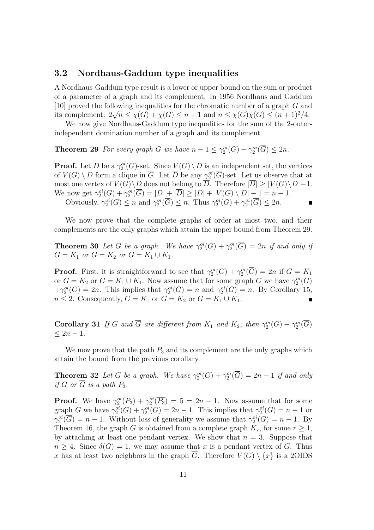#### **3.2 Nordhaus-Gaddum type inequalities**

A Nordhaus-Gaddum type result is a lower or upper bound on the sum or product of a parameter of a graph and its complement. In 1956 Nordhaus and Gaddum [10] proved the following inequalities for the chromatic number of a graph G and its complement:  $2\sqrt{n} \leq \chi(G) + \chi(\overline{G}) \leq n+1$  and  $n \leq \chi(G)\chi(\overline{G}) \leq (n+1)^2/4$ .

We now give Nordhaus-Gaddum type inequalities for the sum of the 2-outerindependent domination number of a graph and its complement.

**Theorem 29** *For every graph G we have*  $n - 1 \leq \gamma_2^{oi}(G) + \gamma_2^{oi}(\overline{G}) \leq 2n$ *.* 

**Proof.** Let D be a  $\gamma_2^{oi}(G)$ -set. Since  $V(G) \setminus D$  is an independent set, the vertices of  $V(G) \setminus D$  form a clique in  $\overline{G}$ . Let  $\overline{D}$  be any  $\gamma_2^{oi}(\overline{G})$ -set. Let us observe that at most one vertex of  $V(G) \backslash D$  does not belong to  $\overline{D}$ . Therefore  $|\overline{D}| \geq |V(G) \backslash D|-1$ . We now get  $\gamma_2^{oi}(G) + \gamma_2^{oi}(\overline{G}) = |D| + |\overline{D}| \ge |D| + |V(G) \setminus D| - 1 = n - 1.$ 

Obviously,  $\gamma_2^{oi}(G) \leq n$  and  $\gamma_2^{oi}(\overline{G}) \leq n$ . Thus  $\gamma_2^{oi}(G) + \gamma_2^{oi}(\overline{G}) \leq 2n$ .

We now prove that the complete graphs of order at most two, and their complements are the only graphs which attain the upper bound from Theorem 29.

**Theorem 30** Let G be a graph. We have  $\gamma_2^{oi}(G) + \gamma_2^{oi}(\overline{G}) = 2n$  if and only if  $G = K_1$  *or*  $G = K_2$  *or*  $G = K_1 \cup K_1$ .

**Proof.** First, it is straightforward to see that  $\gamma_2^{oi}(G) + \gamma_2^{oi}(\overline{G}) = 2n$  if  $G = K_1$ or  $G = K_2$  or  $G = K_1 \cup K_1$ . Now assume that for some graph G we have  $\gamma_2^{oi}(G)$  $+\gamma_2^{oi}(\overline{G})=2n$ . This implies that  $\gamma_2^{oi}(G)=n$  and  $\gamma_2^{oi}(\overline{G})=n$ . By Corollary 15,  $n \leq 2$ . Consequently,  $G = K_1$  or  $G = K_2$  or  $G = K_1 \cup K_1$ .

**Corollary 31** *If* G and  $\overline{G}$  are different from  $K_1$  and  $K_2$ , then  $\gamma_2^{oi}(G) + \gamma_2^{oi}(\overline{G})$  $≤ 2n - 1.$ 

We now prove that the path  $P_3$  and its complement are the only graphs which attain the bound from the previous corollary.

**Theorem 32** *Let* G *be a graph. We have*  $\gamma_2^{oi}(G) + \gamma_2^{oi}(\overline{G}) = 2n - 1$  *if and only if*  $G$  *or*  $\overline{G}$  *is a path*  $P_3$ *.* 

**Proof.** We have  $\gamma_2^{oi}(P_3) + \gamma_2^{oi}(\overline{P_3}) = 5 = 2n - 1$ . Now assume that for some graph G we have  $\gamma_2^{oi}(G) + \gamma_2^{oi}(\overline{G}) = 2n - 1$ . This implies that  $\gamma_2^{oi}(G) = n - 1$  or  $\gamma_2^{oi}(\overline{G}) = n - 1$ . Without loss of generality we assume that  $\gamma_2^{oi}(G) = n - 1$ . By Theorem 16, the graph G is obtained from a complete graph  $K_r$ , for some  $r \geq 1$ , by attaching at least one pendant vertex. We show that  $n = 3$ . Suppose that  $n \geq 4$ . Since  $\delta(G) = 1$ , we may assume that x is a pendant vertex of G. Thus x has at least two neighbors in the graph  $\overline{G}$ . Therefore  $V(G) \setminus \{x\}$  is a 2OIDS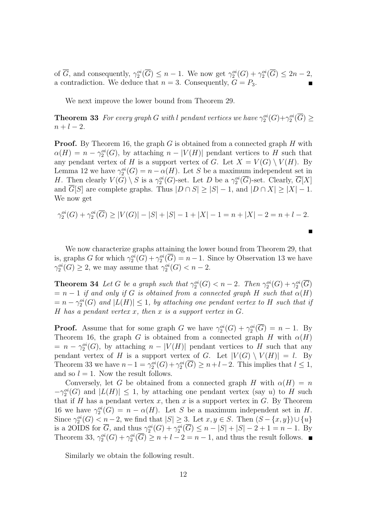of  $\overline{G}$ , and consequently,  $\gamma_2^{oi}(\overline{G}) \leq n-1$ . We now get  $\gamma_2^{oi}(G) + \gamma_2^{oi}(\overline{G}) \leq 2n-2$ , a contradiction. We deduce that  $n = 3$ . Consequently,  $G = P_3$ .

We next improve the lower bound from Theorem 29.

**Theorem 33** *For every graph* G *with* l *pendant vertices we have*  $\gamma_2^{\circ i}(G) + \gamma_2^{\circ i}(\overline{G}) \ge$  $n + l - 2.$ 

**Proof.** By Theorem 16, the graph G is obtained from a connected graph H with  $\alpha(H) = n - \gamma_2^{\alpha_i}(G)$ , by attaching  $n - |V(H)|$  pendant vertices to H such that any pendant vertex of H is a support vertex of G. Let  $X = V(G) \setminus V(H)$ . By Lemma 12 we have  $\gamma_2^{oi}(G) = n - \alpha(H)$ . Let S be a maximum independent set in H. Then clearly  $V(G) \setminus S$  is a  $\gamma_2^{oi}(G)$ -set. Let D be a  $\gamma_2^{oi}(\overline{G})$ -set. Clearly,  $\overline{G}[X]$ and  $\overline{G}[S]$  are complete graphs. Thus  $|D \cap S| \geq |S| - 1$ , and  $|D \cap X| \geq |X| - 1$ . We now get

$$
\gamma_2^{oi}(G) + \gamma_2^{oi}(\overline{G}) \ge |V(G)| - |S| + |S| - 1 + |X| - 1 = n + |X| - 2 = n + l - 2.
$$

We now characterize graphs attaining the lower bound from Theorem 29, that is, graphs G for which  $\gamma_2^{oi}(G) + \gamma_2^{oi}(\overline{G}) = n - 1$ . Since by Observation 13 we have  $\gamma_2^{oi}(G) \geq 2$ , we may assume that  $\gamma_2^{oi}(G) < n-2$ .

**Theorem 34** *Let* G *be a graph such that*  $\gamma_2^{oi}(G) < n-2$ *. Then*  $\gamma_2^{oi}(G) + \gamma_2^{oi}(\overline{G})$  $= n - 1$  *if and only if* G *is obtained from a connected graph* H *such that*  $\alpha(H)$  $= n - \gamma_2^{oi}(G)$  and  $|L(H)| \leq 1$ , by attaching one pendant vertex to H such that if H *has a pendant vertex* x*, then* x *is a support vertex in* G*.*

**Proof.** Assume that for some graph G we have  $\gamma_2^{oi}(G) + \gamma_2^{oi}(\overline{G}) = n - 1$ . By Theorem 16, the graph G is obtained from a connected graph H with  $\alpha(H)$  $= n - \gamma_2^{\text{oi}}(G)$ , by attaching  $n - |V(H)|$  pendant vertices to H such that any pendant vertex of H is a support vertex of G. Let  $|V(G) \setminus V(H)| = l$ . By Theorem 33 we have  $n-1 = \gamma_2^{oi}(G) + \gamma_2^{oi}(\overline{G}) \geq n+l-2$ . This implies that  $l \leq 1$ , and so  $l = 1$ . Now the result follows.

Conversely, let G be obtained from a connected graph H with  $\alpha(H) = n$  $-\gamma_2^{oi}(G)$  and  $|L(H)| \leq 1$ , by attaching one pendant vertex (say u) to H such that if H has a pendant vertex x, then x is a support vertex in  $G$ . By Theorem 16 we have  $\gamma_2^{oi}(G) = n - \alpha(H)$ . Let S be a maximum independent set in H. Since  $\gamma_2^{oi}(G) < n-2$ , we find that  $|S| \geq 3$ . Let  $x, y \in S$ . Then  $(S - \{x, y\}) \cup \{u\}$ is a 2OIDS for  $\overline{G}$ , and thus  $\gamma_2^{oi}(G) + \gamma_2^{oi}(\overline{G}) \leq n - |S| + |S| - 2 + 1 = n - 1$ . By Theorem 33,  $\gamma_2^{oi}(G) + \gamma_2^{oi}(\overline{G}) \geq n + l - 2 = n - 1$ , and thus the result follows.

Similarly we obtain the following result.